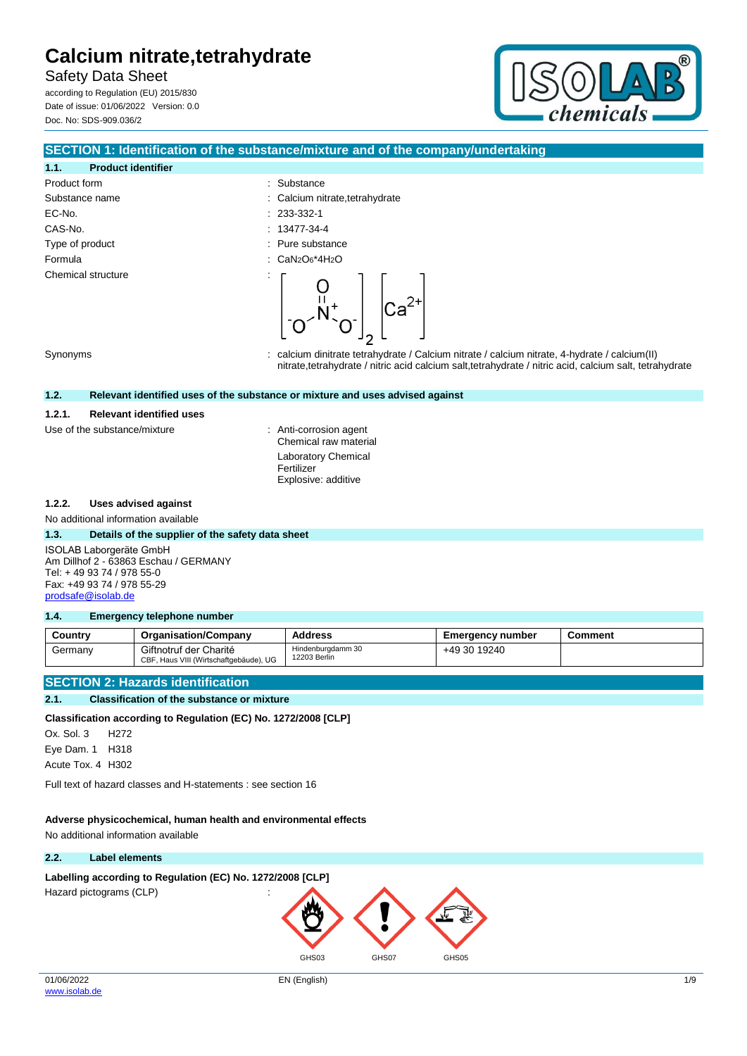Product form  $\qquad \qquad$ : Substance

EC-No. : 233-332-1 CAS-No. : 13477-34-4 Type of product in the substance in the substance in the substance in the substance Formula : CaN2O6\*4H2O

Substance name  $\qquad \qquad : \qquad$  Calcium nitrate,tetrahydrate

Safety Data Sheet

**1.1. Product identifier**

according to Regulation (EU) 2015/830 Date of issue: 01/06/2022 Version: 0.0 Doc. No: SDS-909.036/2



## **SECTION 1: Identification of the substance/mixture and of the company/undertaking**

Chemical structure

Synonyms : calcium dinitrate tetrahydrate / Calcium nitrate / calcium nitrate, 4-hydrate / calcium(II) nitrate,tetrahydrate / nitric acid calcium salt,tetrahydrate / nitric acid, calcium salt, tetrahydrate

 $Ca<sup>2+</sup>$ 

#### **1.2. Relevant identified uses of the substance or mixture and uses advised against**

#### **1.2.1. Relevant identified uses**

Use of the substance/mixture : Anti-corrosion agent

Chemical raw material Laboratory Chemical Fertilizer Explosive: additive

#### **1.2.2. Uses advised against**

No additional information available

#### **1.3. Details of the supplier of the safety data sheet**

ISOLAB Laborgeräte GmbH Am Dillhof 2 - 63863 Eschau / GERMANY Tel: + 49 93 74 / 978 55-0 Fax: +49 93 74 / 978 55-29 [prodsafe@isolab.de](mailto:prodsafe@isolab.de)

### **1.4. Emergency telephone number**

| Country | <b>Organisation/Company</b>                                      | <b>Address</b>                    | Emergency number | <b>Comment</b> |
|---------|------------------------------------------------------------------|-----------------------------------|------------------|----------------|
| Germany | Giftnotruf der Charité<br>CBF, Haus VIII (Wirtschaftgebäude), UG | Hindenburgdamm 30<br>12203 Berlin | +49 30 19240     |                |

## **SECTION 2: Hazards identification**

#### **2.1. Classification of the substance or mixture**

**Classification according to Regulation (EC) No. 1272/2008 [CLP]**

Ox. Sol. 3 H272

Eye Dam. 1 H318

Acute Tox. 4 H302

Full text of hazard classes and H-statements : see section 16

## **Adverse physicochemical, human health and environmental effects**

No additional information available

## **2.2. Label elements**

Labelling according to Regulation (EC) No. 1272/2008 [CLP]

Hazard pictograms (CLP) :

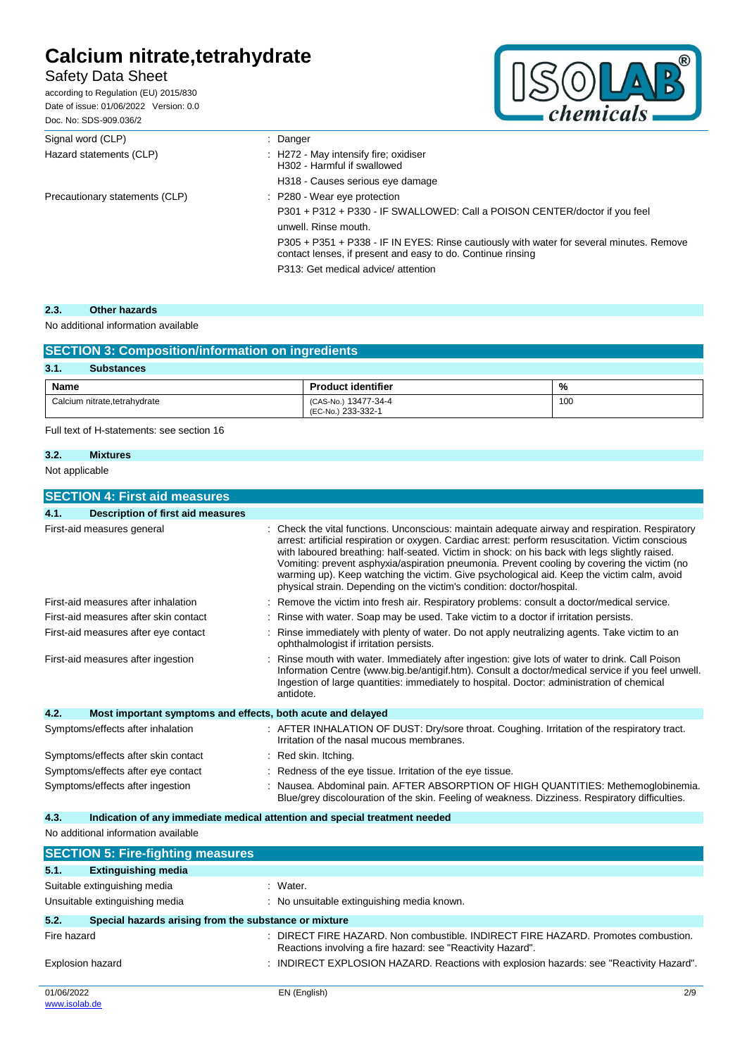## Safety Data Sheet

according to Regulation (EU) 2015/830 Date of issue: 01/06/2022 Version: 0.0 Doc. No: SDS-909.036/2



| Signal word (CLP)              | $:$ Danger                                                                                                                                              |
|--------------------------------|---------------------------------------------------------------------------------------------------------------------------------------------------------|
| Hazard statements (CLP)        | : H272 - May intensify fire; oxidiser<br>H302 - Harmful if swallowed                                                                                    |
|                                | H318 - Causes serious eye damage                                                                                                                        |
| Precautionary statements (CLP) | $\therefore$ P280 - Wear eye protection                                                                                                                 |
|                                | P301 + P312 + P330 - IF SWALLOWED: Call a POISON CENTER/doctor if you feel                                                                              |
|                                | unwell. Rinse mouth.                                                                                                                                    |
|                                | P305 + P351 + P338 - IF IN EYES: Rinse cautiously with water for several minutes. Remove<br>contact lenses, if present and easy to do. Continue rinsing |
|                                | P313: Get medical advice/attention                                                                                                                      |

## **2.3. Other hazards**

## No additional information available

| <b>SECTION 3: Composition/information on ingredients</b> |                                            |     |  |
|----------------------------------------------------------|--------------------------------------------|-----|--|
| 3.1.<br><b>Substances</b>                                |                                            |     |  |
| Name                                                     | <b>Product identifier</b>                  | %   |  |
| Calcium nitrate, tetrahydrate                            | (CAS-No.) 13477-34-4<br>(EC-No.) 233-332-1 | 100 |  |

Full text of H-statements: see section 16

## **3.2. Mixtures**

Not applicable

| <b>SECTION 4: First aid measures</b>                                |                                                                                                                                                                                                                                                                                                                                                                                                                                                                                                                                                                            |
|---------------------------------------------------------------------|----------------------------------------------------------------------------------------------------------------------------------------------------------------------------------------------------------------------------------------------------------------------------------------------------------------------------------------------------------------------------------------------------------------------------------------------------------------------------------------------------------------------------------------------------------------------------|
| 4.1.<br><b>Description of first aid measures</b>                    |                                                                                                                                                                                                                                                                                                                                                                                                                                                                                                                                                                            |
| First-aid measures general                                          | Check the vital functions. Unconscious: maintain adequate airway and respiration. Respiratory<br>arrest: artificial respiration or oxygen. Cardiac arrest: perform resuscitation. Victim conscious<br>with laboured breathing: half-seated. Victim in shock: on his back with legs slightly raised.<br>Vomiting: prevent asphyxia/aspiration pneumonia. Prevent cooling by covering the victim (no<br>warming up). Keep watching the victim. Give psychological aid. Keep the victim calm, avoid<br>physical strain. Depending on the victim's condition: doctor/hospital. |
| First-aid measures after inhalation                                 | Remove the victim into fresh air. Respiratory problems: consult a doctor/medical service.                                                                                                                                                                                                                                                                                                                                                                                                                                                                                  |
| First-aid measures after skin contact                               | Rinse with water. Soap may be used. Take victim to a doctor if irritation persists.                                                                                                                                                                                                                                                                                                                                                                                                                                                                                        |
| First-aid measures after eye contact                                | Rinse immediately with plenty of water. Do not apply neutralizing agents. Take victim to an<br>ophthalmologist if irritation persists.                                                                                                                                                                                                                                                                                                                                                                                                                                     |
| First-aid measures after ingestion                                  | Rinse mouth with water. Immediately after ingestion: give lots of water to drink. Call Poison<br>Information Centre (www.big.be/antigif.htm). Consult a doctor/medical service if you feel unwell.<br>Ingestion of large quantities: immediately to hospital. Doctor: administration of chemical<br>antidote.                                                                                                                                                                                                                                                              |
| 4.2.<br>Most important symptoms and effects, both acute and delayed |                                                                                                                                                                                                                                                                                                                                                                                                                                                                                                                                                                            |
| Symptoms/effects after inhalation                                   | : AFTER INHALATION OF DUST: Dry/sore throat. Coughing. Irritation of the respiratory tract.<br>Irritation of the nasal mucous membranes.                                                                                                                                                                                                                                                                                                                                                                                                                                   |
| Symptoms/effects after skin contact                                 | Red skin. Itching.                                                                                                                                                                                                                                                                                                                                                                                                                                                                                                                                                         |
| Symptoms/effects after eye contact                                  | Redness of the eye tissue. Irritation of the eye tissue.                                                                                                                                                                                                                                                                                                                                                                                                                                                                                                                   |
| Symptoms/effects after ingestion                                    | Nausea. Abdominal pain. AFTER ABSORPTION OF HIGH QUANTITIES: Methemoglobinemia.<br>Blue/grey discolouration of the skin. Feeling of weakness. Dizziness. Respiratory difficulties.                                                                                                                                                                                                                                                                                                                                                                                         |

## **4.3. Indication of any immediate medical attention and special treatment needed**

No additional information available

|                             | <b>SECTION 5: Fire-fighting measures</b>              |                                                                                                                                                |  |
|-----------------------------|-------------------------------------------------------|------------------------------------------------------------------------------------------------------------------------------------------------|--|
| 5.1.                        | <b>Extinguishing media</b>                            |                                                                                                                                                |  |
|                             | Suitable extinguishing media                          | : Water.                                                                                                                                       |  |
|                             | Unsuitable extinguishing media                        | : No unsuitable extinguishing media known.                                                                                                     |  |
| 5.2.                        | Special hazards arising from the substance or mixture |                                                                                                                                                |  |
| Fire hazard                 | ÷.                                                    | DIRECT FIRE HAZARD. Non combustible. INDIRECT FIRE HAZARD. Promotes combustion.<br>Reactions involving a fire hazard: see "Reactivity Hazard". |  |
| <b>Explosion hazard</b>     |                                                       | : INDIRECT EXPLOSION HAZARD. Reactions with explosion hazards: see "Reactivity Hazard".                                                        |  |
| 01/06/2022<br>www.isolab.de |                                                       | EN (English)<br>2/9                                                                                                                            |  |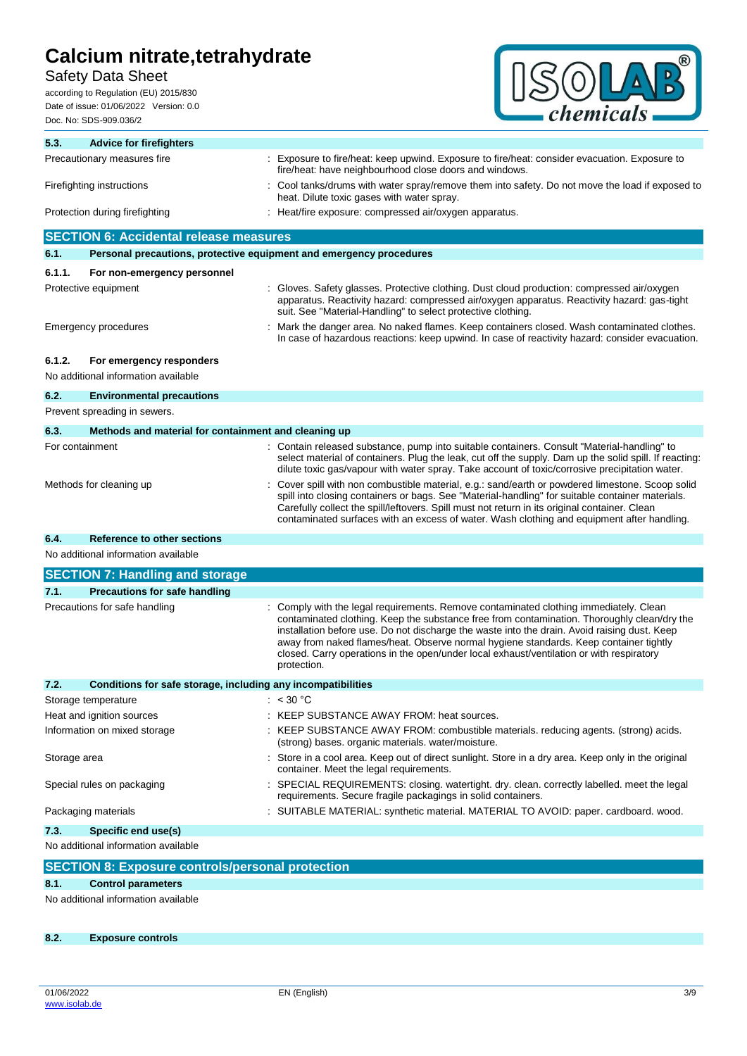## Safety Data Sheet

according to Regulation (EU) 2015/830 Date of issue: 01/06/2022 Version: 0.0 Doc. No: SDS-909.036/2



| 5.3.                      | <b>Advice for firefighters</b>                                      |                                                                                                                                                                                                                                                                                                                                                                                                                                                                                        |
|---------------------------|---------------------------------------------------------------------|----------------------------------------------------------------------------------------------------------------------------------------------------------------------------------------------------------------------------------------------------------------------------------------------------------------------------------------------------------------------------------------------------------------------------------------------------------------------------------------|
|                           | Precautionary measures fire                                         | Exposure to fire/heat: keep upwind. Exposure to fire/heat: consider evacuation. Exposure to<br>fire/heat: have neighbourhood close doors and windows.                                                                                                                                                                                                                                                                                                                                  |
| Firefighting instructions |                                                                     | Cool tanks/drums with water spray/remove them into safety. Do not move the load if exposed to<br>heat. Dilute toxic gases with water spray.                                                                                                                                                                                                                                                                                                                                            |
|                           | Protection during firefighting                                      | : Heat/fire exposure: compressed air/oxygen apparatus.                                                                                                                                                                                                                                                                                                                                                                                                                                 |
|                           | <b>SECTION 6: Accidental release measures</b>                       |                                                                                                                                                                                                                                                                                                                                                                                                                                                                                        |
| 6.1.                      | Personal precautions, protective equipment and emergency procedures |                                                                                                                                                                                                                                                                                                                                                                                                                                                                                        |
| 6.1.1.                    | For non-emergency personnel                                         |                                                                                                                                                                                                                                                                                                                                                                                                                                                                                        |
|                           | Protective equipment                                                | : Gloves. Safety glasses. Protective clothing. Dust cloud production: compressed air/oxygen<br>apparatus. Reactivity hazard: compressed air/oxygen apparatus. Reactivity hazard: gas-tight<br>suit. See "Material-Handling" to select protective clothing.                                                                                                                                                                                                                             |
|                           | Emergency procedures                                                | : Mark the danger area. No naked flames. Keep containers closed. Wash contaminated clothes.<br>In case of hazardous reactions: keep upwind. In case of reactivity hazard: consider evacuation.                                                                                                                                                                                                                                                                                         |
| 6.1.2.                    | For emergency responders<br>No additional information available     |                                                                                                                                                                                                                                                                                                                                                                                                                                                                                        |
| 6.2.                      | <b>Environmental precautions</b>                                    |                                                                                                                                                                                                                                                                                                                                                                                                                                                                                        |
|                           | Prevent spreading in sewers.                                        |                                                                                                                                                                                                                                                                                                                                                                                                                                                                                        |
| 6.3.                      | Methods and material for containment and cleaning up                |                                                                                                                                                                                                                                                                                                                                                                                                                                                                                        |
| For containment           |                                                                     | : Contain released substance, pump into suitable containers. Consult "Material-handling" to<br>select material of containers. Plug the leak, cut off the supply. Dam up the solid spill. If reacting:<br>dilute toxic gas/vapour with water spray. Take account of toxic/corrosive precipitation water.                                                                                                                                                                                |
|                           | Methods for cleaning up                                             | Cover spill with non combustible material, e.g.: sand/earth or powdered limestone. Scoop solid<br>spill into closing containers or bags. See "Material-handling" for suitable container materials.<br>Carefully collect the spill/leftovers. Spill must not return in its original container. Clean<br>contaminated surfaces with an excess of water. Wash clothing and equipment after handling.                                                                                      |
| 6.4.                      | <b>Reference to other sections</b>                                  |                                                                                                                                                                                                                                                                                                                                                                                                                                                                                        |
|                           | No additional information available                                 |                                                                                                                                                                                                                                                                                                                                                                                                                                                                                        |
|                           | <b>SECTION 7: Handling and storage</b>                              |                                                                                                                                                                                                                                                                                                                                                                                                                                                                                        |
| 7.1.                      | <b>Precautions for safe handling</b>                                |                                                                                                                                                                                                                                                                                                                                                                                                                                                                                        |
|                           | Precautions for safe handling                                       | Comply with the legal requirements. Remove contaminated clothing immediately. Clean<br>contaminated clothing. Keep the substance free from contamination. Thoroughly clean/dry the<br>installation before use. Do not discharge the waste into the drain. Avoid raising dust. Keep<br>away from naked flames/heat. Observe normal hygiene standards. Keep container tightly<br>closed. Carry operations in the open/under local exhaust/ventilation or with respiratory<br>protection. |
| 7.2.                      | Conditions for safe storage, including any incompatibilities        |                                                                                                                                                                                                                                                                                                                                                                                                                                                                                        |
|                           | Storage temperature                                                 | : $< 30 °C$                                                                                                                                                                                                                                                                                                                                                                                                                                                                            |
|                           | Heat and ignition sources                                           | : KEEP SUBSTANCE AWAY FROM: heat sources.                                                                                                                                                                                                                                                                                                                                                                                                                                              |
|                           | Information on mixed storage                                        | : KEEP SUBSTANCE AWAY FROM: combustible materials. reducing agents. (strong) acids.<br>(strong) bases. organic materials. water/moisture.                                                                                                                                                                                                                                                                                                                                              |
| Storage area              |                                                                     | Store in a cool area. Keep out of direct sunlight. Store in a dry area. Keep only in the original<br>container. Meet the legal requirements.                                                                                                                                                                                                                                                                                                                                           |
|                           | Special rules on packaging                                          | : SPECIAL REQUIREMENTS: closing. watertight. dry. clean. correctly labelled. meet the legal<br>requirements. Secure fragile packagings in solid containers.                                                                                                                                                                                                                                                                                                                            |
|                           | Packaging materials                                                 | SUITABLE MATERIAL: synthetic material. MATERIAL TO AVOID: paper. cardboard. wood.                                                                                                                                                                                                                                                                                                                                                                                                      |
| 7.3.                      | Specific end use(s)                                                 |                                                                                                                                                                                                                                                                                                                                                                                                                                                                                        |
|                           | No additional information available                                 |                                                                                                                                                                                                                                                                                                                                                                                                                                                                                        |
|                           | <b>SECTION 8: Exposure controls/personal protection</b>             |                                                                                                                                                                                                                                                                                                                                                                                                                                                                                        |
| 8.1.                      | <b>Control parameters</b>                                           |                                                                                                                                                                                                                                                                                                                                                                                                                                                                                        |
|                           | No additional information available                                 |                                                                                                                                                                                                                                                                                                                                                                                                                                                                                        |
|                           |                                                                     |                                                                                                                                                                                                                                                                                                                                                                                                                                                                                        |

**8.2. Exposure controls**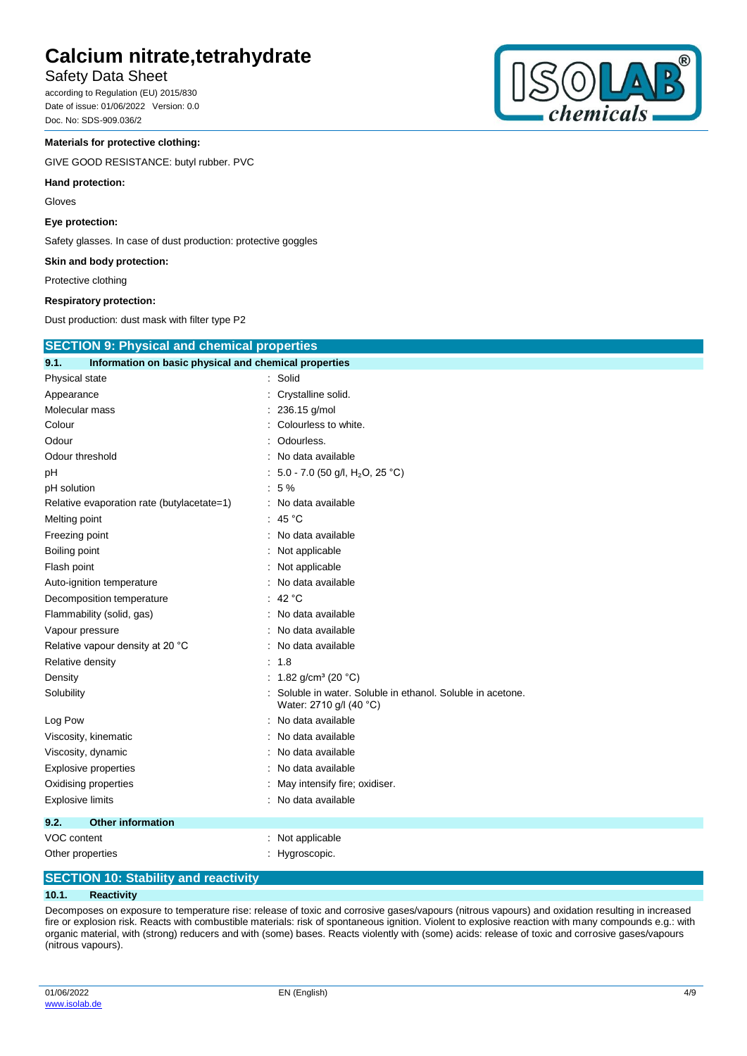## Safety Data Sheet

according to Regulation (EU) 2015/830 Date of issue: 01/06/2022 Version: 0.0 Doc. No: SDS-909.036/2

## **Materials for protective clothing:**

GIVE GOOD RESISTANCE: butyl rubber. PVC

#### **Hand protection:**

Gloves

**Eye protection:**

Safety glasses. In case of dust production: protective goggles

**Skin and body protection:**

### **Respiratory protection:**

| Protective clothing                                           |                                                                                      |  |
|---------------------------------------------------------------|--------------------------------------------------------------------------------------|--|
| <b>Respiratory protection:</b>                                |                                                                                      |  |
| Dust production: dust mask with filter type P2                |                                                                                      |  |
| <b>SECTION 9: Physical and chemical properties</b>            |                                                                                      |  |
| 9.1.<br>Information on basic physical and chemical properties |                                                                                      |  |
| Physical state                                                | Solid                                                                                |  |
| Appearance                                                    | Crystalline solid.                                                                   |  |
| Molecular mass                                                | : 236.15 g/mol                                                                       |  |
| Colour                                                        | Colourless to white.                                                                 |  |
| Odour                                                         | Odourless.                                                                           |  |
| Odour threshold                                               | No data available                                                                    |  |
| рH                                                            | : 5.0 - 7.0 (50 g/l, H <sub>2</sub> O, 25 °C)                                        |  |
| pH solution                                                   | :5%                                                                                  |  |
| Relative evaporation rate (butylacetate=1)                    | No data available                                                                    |  |
| Melting point                                                 | : 45 $^{\circ}$ C                                                                    |  |
| Freezing point                                                | No data available                                                                    |  |
| Boiling point                                                 | : Not applicable                                                                     |  |
| Flash point                                                   | Not applicable                                                                       |  |
| Auto-ignition temperature                                     | No data available                                                                    |  |
| Decomposition temperature                                     | : 42 $^{\circ}$ C                                                                    |  |
| Flammability (solid, gas)                                     | No data available                                                                    |  |
| Vapour pressure                                               | No data available                                                                    |  |
| Relative vapour density at 20 °C                              | No data available                                                                    |  |
| Relative density                                              | : 1.8                                                                                |  |
| Density                                                       | : 1.82 g/cm <sup>3</sup> (20 °C)                                                     |  |
| Solubility                                                    | Soluble in water. Soluble in ethanol. Soluble in acetone.<br>Water: 2710 g/l (40 °C) |  |
| Log Pow                                                       | No data available                                                                    |  |
| Viscosity, kinematic                                          | No data available                                                                    |  |
| Viscosity, dynamic                                            | No data available                                                                    |  |
| <b>Explosive properties</b>                                   | No data available                                                                    |  |
| Oxidising properties                                          | May intensify fire; oxidiser.                                                        |  |
| <b>Explosive limits</b>                                       | No data available                                                                    |  |

## **9.2. Other information** VOC content : Not applicable

Other properties in the contract of the contract of the contract of the contract of the contract of the contract of the contract of the contract of the contract of the contract of the contract of the contract of the contra

## **SECTION 10: Stability and reactivity**

## **10.1. Reactivity**

Decomposes on exposure to temperature rise: release of toxic and corrosive gases/vapours (nitrous vapours) and oxidation resulting in increased fire or explosion risk. Reacts with combustible materials: risk of spontaneous ignition. Violent to explosive reaction with many compounds e.g.: with organic material, with (strong) reducers and with (some) bases. Reacts violently with (some) acids: release of toxic and corrosive gases/vapours (nitrous vapours).

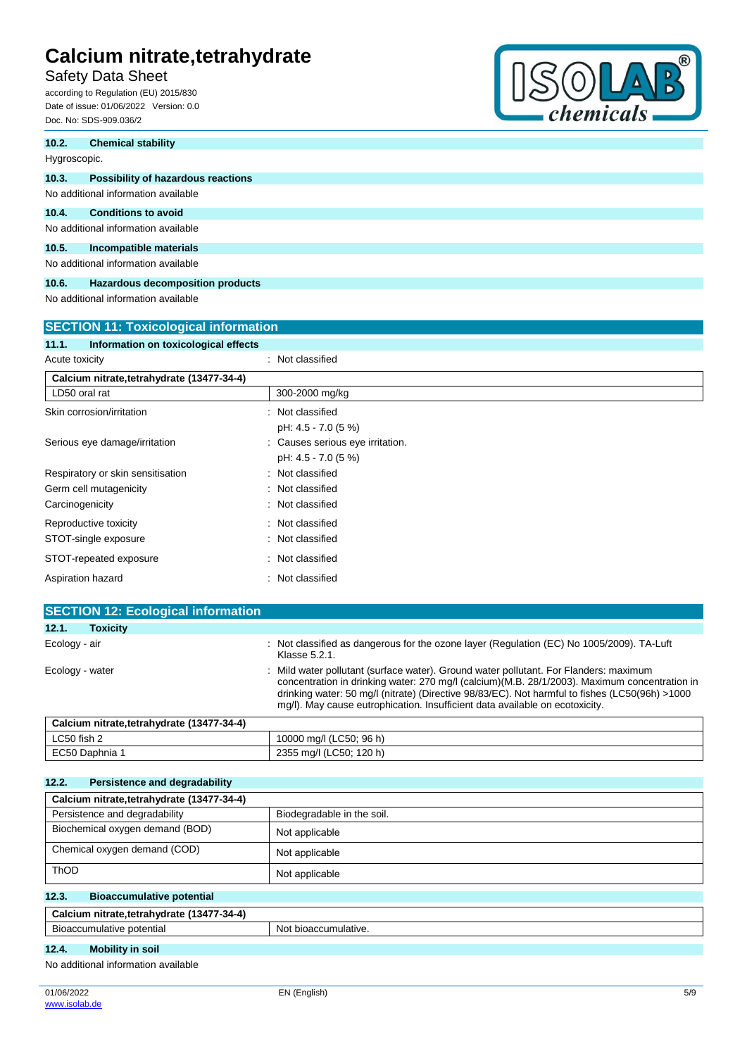## Safety Data Sheet

according to Regulation (EU) 2015/830 Date of issue: 01/06/2022 Version: 0.0 Doc. No: SDS-909.036/2



| 10.2.        | <b>Chemical stability</b>           |
|--------------|-------------------------------------|
| Hygroscopic. |                                     |
| 10.3.        | Possibility of hazardous reactions  |
|              | No additional information available |
| 10.4.        | <b>Conditions to avoid</b>          |
|              | No additional information available |
| 10.5.        | Incompatible materials              |
|              | No additional information available |
| 10.6.        | Hazardous decomposition products    |

No additional information available

| <b>SECTION 11: Toxicological information</b>  |                                  |  |
|-----------------------------------------------|----------------------------------|--|
| Information on toxicological effects<br>11.1. |                                  |  |
| Acute toxicity                                | : Not classified                 |  |
| Calcium nitrate, tetrahydrate (13477-34-4)    |                                  |  |
| LD50 oral rat                                 | 300-2000 mg/kg                   |  |
| Skin corrosion/irritation                     | : Not classified                 |  |
|                                               | pH: 4.5 - 7.0 (5 %)              |  |
| Serious eye damage/irritation                 | : Causes serious eye irritation. |  |
|                                               | pH: 4.5 - 7.0 (5 %)              |  |
| Respiratory or skin sensitisation             | : Not classified                 |  |
| Germ cell mutagenicity                        | : Not classified                 |  |
| Carcinogenicity                               | : Not classified                 |  |
| Reproductive toxicity                         | : Not classified                 |  |
| STOT-single exposure                          | : Not classified                 |  |
| STOT-repeated exposure                        | : Not classified                 |  |
| Aspiration hazard                             | Not classified                   |  |
|                                               |                                  |  |

| <b>SECTION 12: Ecological information</b>  |                                                                                                                                                                                                                                                                                                                                                                         |
|--------------------------------------------|-------------------------------------------------------------------------------------------------------------------------------------------------------------------------------------------------------------------------------------------------------------------------------------------------------------------------------------------------------------------------|
| 12.1.<br><b>Toxicity</b>                   |                                                                                                                                                                                                                                                                                                                                                                         |
| Ecology - air                              | : Not classified as dangerous for the ozone layer (Regulation (EC) No 1005/2009). TA-Luft<br>Klasse 5.2.1.                                                                                                                                                                                                                                                              |
| Ecology - water                            | Mild water pollutant (surface water). Ground water pollutant. For Flanders: maximum<br>concentration in drinking water: 270 mg/l (calcium) (M.B. 28/1/2003). Maximum concentration in<br>drinking water: 50 mg/l (nitrate) (Directive 98/83/EC). Not harmful to fishes (LC50(96h) >1000<br>mg/l). May cause eutrophication. Insufficient data available on ecotoxicity. |
| Calcium nitrate, tetrahydrate (13477-34-4) |                                                                                                                                                                                                                                                                                                                                                                         |

| LC50 fish 2  | 10000 mg/l (LC50; 96 h) |
|--------------|-------------------------|
| EC50 Daphnia | 2355 mg/l (LC50; 120 h) |
|              |                         |

| 12.2.<br><b>Persistence and degradability</b> |                            |
|-----------------------------------------------|----------------------------|
| Calcium nitrate, tetrahydrate (13477-34-4)    |                            |
| Persistence and degradability                 | Biodegradable in the soil. |
| Biochemical oxygen demand (BOD)               | Not applicable             |
| Chemical oxygen demand (COD)                  | Not applicable             |
| ThOD                                          | Not applicable             |
| 12.3.<br><b>Bioaccumulative potential</b>     |                            |
| Calcium nitrate, tetrahydrate (13477-34-4)    |                            |
| Bioaccumulative potential                     | Not bioaccumulative.       |
| <b>Mobility in soil</b><br>12.4.              |                            |
| No additional information available           |                            |

No additional information available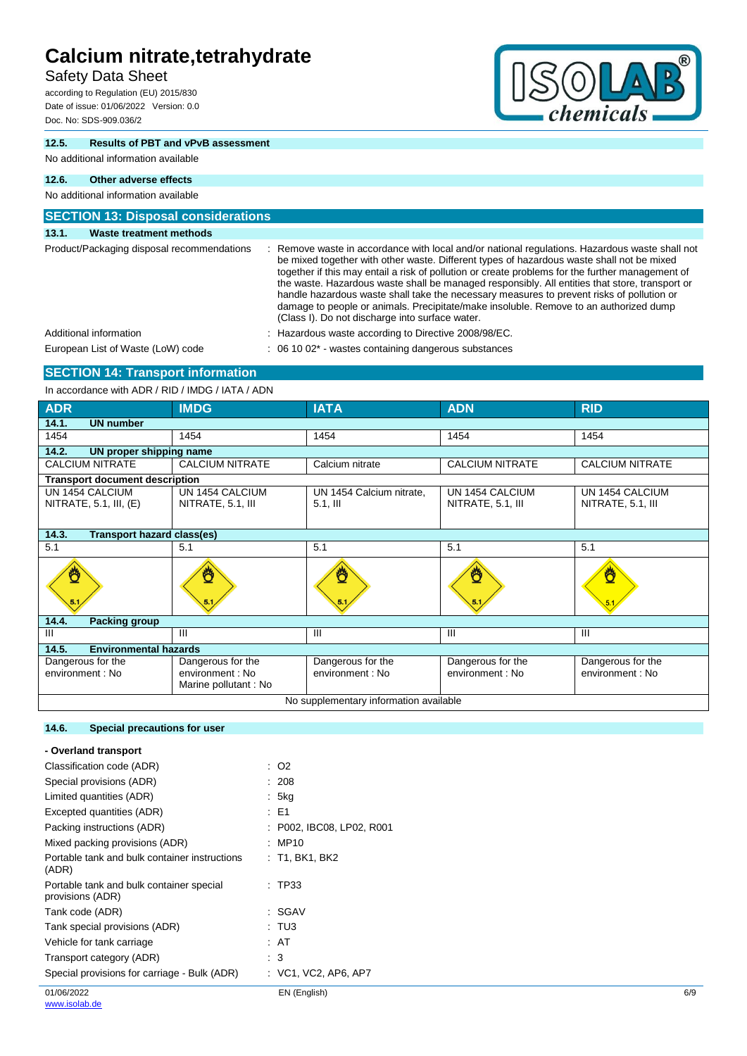## Safety Data Sheet

according to Regulation (EU) 2015/830 Date of issue: 01/06/2022 Version: 0.0 Doc. No: SDS-909.036/2



## **12.5. Results of PBT and vPvB assessment**

## No additional information available

## **12.6. Other adverse effects**

## No additional information available **SECTION 13: Disposal considerations 13.1. Waste treatment methods** Product/Packaging disposal recommendations : Remove waste in accordance with local and/or national regulations. Hazardous waste shall not be mixed together with other waste. Different types of hazardous waste shall not be mixed together if this may entail a risk of pollution or create problems for the further management of the waste. Hazardous waste shall be managed responsibly. All entities that store, transport or handle hazardous waste shall take the necessary measures to prevent risks of pollution or damage to people or animals. Precipitate/make insoluble. Remove to an authorized dump (Class I). Do not discharge into surface water. Additional information **information** : Hazardous waste according to Directive 2008/98/EC. European List of Waste (LoW) code : 06 10 02\* - wastes containing dangerous substances

## **SECTION 14: Transport information**

In accordance with ADR / RID / IMDG / IATA / ADN

| iii accoluatice with ADIV / IND / IIVIDO / IATA / ADIV |                                                               |                                         |                                       |                                       |  |
|--------------------------------------------------------|---------------------------------------------------------------|-----------------------------------------|---------------------------------------|---------------------------------------|--|
| <b>ADR</b>                                             | <b>IMDG</b>                                                   | <b>IATA</b>                             | <b>ADN</b>                            | <b>RID</b>                            |  |
| 14.1.<br><b>UN number</b>                              |                                                               |                                         |                                       |                                       |  |
| 1454                                                   | 1454                                                          | 1454                                    | 1454                                  | 1454                                  |  |
| 14.2.<br>UN proper shipping name                       |                                                               |                                         |                                       |                                       |  |
| <b>CALCIUM NITRATE</b>                                 | <b>CALCIUM NITRATE</b>                                        | Calcium nitrate                         | <b>CALCIUM NITRATE</b>                | <b>CALCIUM NITRATE</b>                |  |
| <b>Transport document description</b>                  |                                                               |                                         |                                       |                                       |  |
| UN 1454 CALCIUM<br>NITRATE, $5.1$ , III, $(E)$         | UN 1454 CALCIUM<br>NITRATE, 5.1, III                          | UN 1454 Calcium nitrate,<br>$5.1$ , III | UN 1454 CALCIUM<br>NITRATE, 5.1, III  | UN 1454 CALCIUM<br>NITRATE, 5.1, III  |  |
| 14.3.<br>Transport hazard class(es)                    |                                                               |                                         |                                       |                                       |  |
| 5.1                                                    | 5.1                                                           | 5.1                                     | 5.1                                   | 5.1                                   |  |
| ₫                                                      | 5.1                                                           | 5.1                                     | 0<br>5.1                              | Ö                                     |  |
| 14.4.<br>Packing group                                 |                                                               |                                         |                                       |                                       |  |
| Ш                                                      | Ш                                                             | $\mathbf{III}$                          | Ш                                     | Ш                                     |  |
| <b>Environmental hazards</b><br>14.5.                  |                                                               |                                         |                                       |                                       |  |
| Dangerous for the<br>environment : No                  | Dangerous for the<br>environment : No<br>Marine pollutant: No | Dangerous for the<br>environment : No   | Dangerous for the<br>environment : No | Dangerous for the<br>environment : No |  |
| No supplementary information available                 |                                                               |                                         |                                       |                                       |  |

## **14.6. Special precautions for user**

| - Overland transport                                         |                           |
|--------------------------------------------------------------|---------------------------|
| Classification code (ADR)                                    | : O2                      |
| Special provisions (ADR)                                     | : 208                     |
| Limited quantities (ADR)                                     | : 5kg                     |
| Excepted quantities (ADR)                                    | : E1                      |
| Packing instructions (ADR)                                   | : P002, IBC08, LP02, R001 |
| Mixed packing provisions (ADR)                               | : MP10                    |
| Portable tank and bulk container instructions<br>(ADR)       | : T1, BK1, BK2            |
| Portable tank and bulk container special<br>provisions (ADR) | $\pm$ TP33                |
| Tank code (ADR)                                              | : SGAV                    |
| Tank special provisions (ADR)                                | : TU3                     |
| Vehicle for tank carriage                                    | : AT                      |
| Transport category (ADR)                                     | : 3                       |
| Special provisions for carriage - Bulk (ADR)                 | : VC1, VC2, AP6, AP7      |
|                                                              |                           |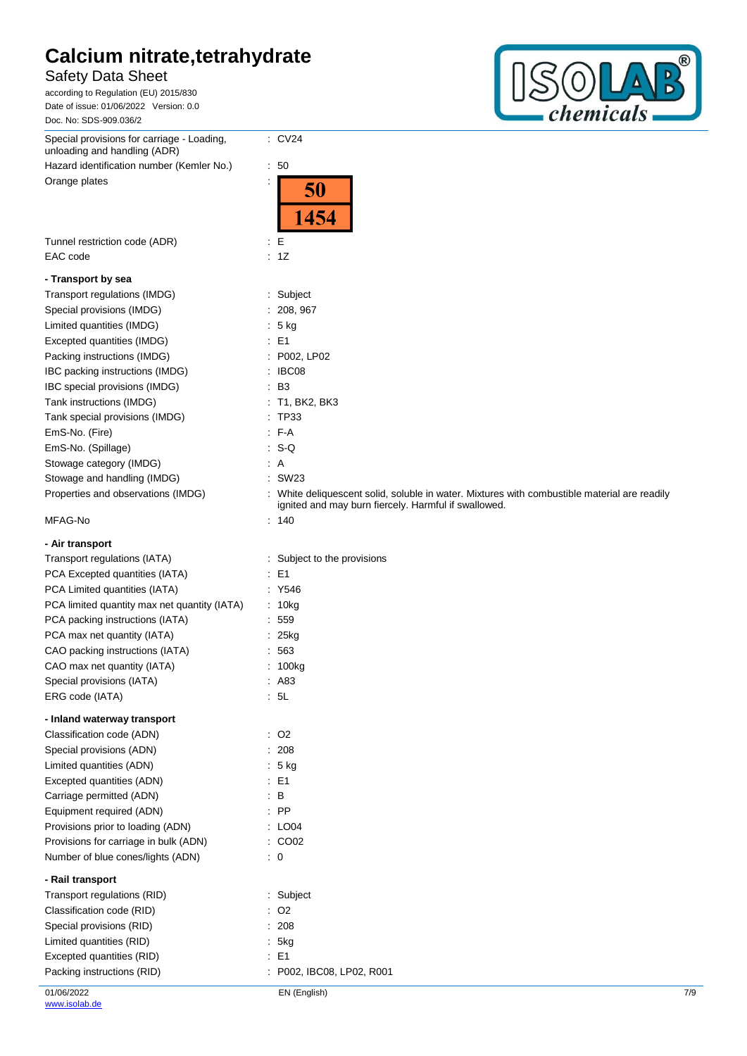## Safety Data Sheet

according to Regulation (EU) 2015/830 Date of issue: 01/06/2022 Version: 0.0 Doc. No: SDS-909.036/2



| Special provisions for carriage - Loading,<br>unloading and handling (ADR) | $\therefore$ CV24                                                                                                                                    |
|----------------------------------------------------------------------------|------------------------------------------------------------------------------------------------------------------------------------------------------|
| Hazard identification number (Kemler No.)                                  | :50                                                                                                                                                  |
| Orange plates                                                              | 50<br>1454                                                                                                                                           |
|                                                                            |                                                                                                                                                      |
| Tunnel restriction code (ADR)<br>EAC code                                  | E<br>÷.<br>: 1Z                                                                                                                                      |
| - Transport by sea                                                         |                                                                                                                                                      |
| Transport regulations (IMDG)                                               | : Subject                                                                                                                                            |
| Special provisions (IMDG)                                                  | : 208, 967                                                                                                                                           |
| Limited quantities (IMDG)                                                  | : 5 kg                                                                                                                                               |
| Excepted quantities (IMDG)                                                 | $\therefore$ E1                                                                                                                                      |
| Packing instructions (IMDG)                                                | : P002, LP02                                                                                                                                         |
| IBC packing instructions (IMDG)                                            | : IBC08                                                                                                                                              |
| IBC special provisions (IMDG)                                              | $\cdot$ B <sub>3</sub>                                                                                                                               |
| Tank instructions (IMDG)                                                   | $:$ T1, BK2, BK3                                                                                                                                     |
| Tank special provisions (IMDG)                                             | : TP33                                                                                                                                               |
| EmS-No. (Fire)                                                             | $F-A$                                                                                                                                                |
| EmS-No. (Spillage)                                                         | $: S-Q$                                                                                                                                              |
| Stowage category (IMDG)                                                    | : A                                                                                                                                                  |
| Stowage and handling (IMDG)                                                | : SW23                                                                                                                                               |
| Properties and observations (IMDG)                                         | : White deliquescent solid, soluble in water. Mixtures with combustible material are readily<br>ignited and may burn fiercely. Harmful if swallowed. |
| MFAG-No                                                                    | : 140                                                                                                                                                |
| - Air transport                                                            |                                                                                                                                                      |
| Transport regulations (IATA)                                               | : Subject to the provisions                                                                                                                          |
| PCA Excepted quantities (IATA)                                             | $\therefore$ E1                                                                                                                                      |
| PCA Limited quantities (IATA)                                              | : Y546                                                                                                                                               |
| PCA limited quantity max net quantity (IATA)                               | : 10kg                                                                                                                                               |
| PCA packing instructions (IATA)                                            | : 559                                                                                                                                                |
| PCA max net quantity (IATA)                                                | 25kg                                                                                                                                                 |
| CAO packing instructions (IATA)                                            | 563                                                                                                                                                  |
| CAO max net quantity (IATA)                                                | 100kg                                                                                                                                                |
| Special provisions (IATA)                                                  | : A83                                                                                                                                                |
| ERG code (IATA)                                                            | : 5L                                                                                                                                                 |
| - Inland waterway transport                                                |                                                                                                                                                      |
| Classification code (ADN)                                                  | $\therefore$ O2                                                                                                                                      |
| Special provisions (ADN)                                                   | : 208                                                                                                                                                |
| Limited quantities (ADN)                                                   | $: 5$ kg                                                                                                                                             |
| Excepted quantities (ADN)                                                  | : E1                                                                                                                                                 |
| Carriage permitted (ADN)                                                   | $\therefore$ B                                                                                                                                       |
| Equipment required (ADN)                                                   | : PP                                                                                                                                                 |
| Provisions prior to loading (ADN)                                          | $\therefore$ LO04                                                                                                                                    |
| Provisions for carriage in bulk (ADN)                                      | : CO02                                                                                                                                               |
| Number of blue cones/lights (ADN)                                          | $\therefore$ 0                                                                                                                                       |
| - Rail transport                                                           |                                                                                                                                                      |
| Transport regulations (RID)                                                | : Subject                                                                                                                                            |
| Classification code (RID)                                                  | $\therefore$ O2                                                                                                                                      |
| Special provisions (RID)                                                   | 208                                                                                                                                                  |
| Limited quantities (RID)                                                   | 5kg                                                                                                                                                  |
| Excepted quantities (RID)                                                  | $E = 1$                                                                                                                                              |
| Packing instructions (RID)                                                 | P002, IBC08, LP02, R001                                                                                                                              |
|                                                                            |                                                                                                                                                      |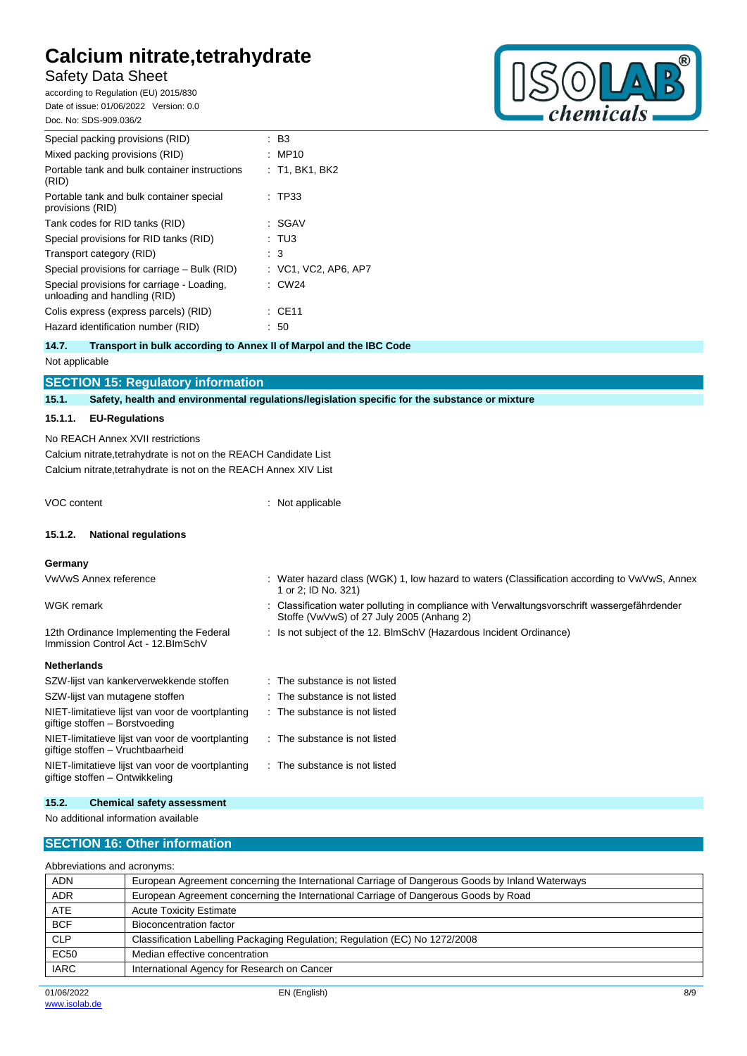## Safety Data Sheet

according to Regulation (EU) 2015/830 Date of issue: 01/06/2022 Version: 0.0 Doc. No: SDS-909.036/2



| Special packing provisions (RID)                                           | : B3                   |
|----------------------------------------------------------------------------|------------------------|
| Mixed packing provisions (RID)                                             | : MP10                 |
| Portable tank and bulk container instructions<br>(RID)                     | : T1. BK1. BK2         |
| Portable tank and bulk container special<br>provisions (RID)               | $\pm$ TP33             |
| Tank codes for RID tanks (RID)                                             | SGAV                   |
| Special provisions for RID tanks (RID)                                     | : TU3                  |
| Transport category (RID)                                                   | $\cdot$ 3              |
| Special provisions for carriage – Bulk (RID)                               | $:$ VC1, VC2, AP6, AP7 |
| Special provisions for carriage - Loading,<br>unloading and handling (RID) | $\therefore$ CW24      |
| Colis express (express parcels) (RID)                                      | : CE11                 |
| Hazard identification number (RID)                                         | : 50                   |
|                                                                            |                        |

## **14.7. Transport in bulk according to Annex II of Marpol and the IBC Code**

Not applicable

| <b>SECTION 15: Regulatory information</b> |  |  |
|-------------------------------------------|--|--|
|                                           |  |  |

**15.1. Safety, health and environmental regulations/legislation specific for the substance or mixture**

### **15.1.1. EU-Regulations**

No REACH Annex XVII restrictions Calcium nitrate,tetrahydrate is not on the REACH Candidate List Calcium nitrate,tetrahydrate is not on the REACH Annex XIV List

VOC content : Not applicable

## **15.1.2. National regulations**

VwVwS Annex reference

#### **Germany**

|  | : Water hazard class (WGK) 1, low hazard to waters (Classification according to VwVwS, Annex<br>1 or 2; ID No. 321) |
|--|---------------------------------------------------------------------------------------------------------------------|
|  |                                                                                                                     |

| WGK remark | : Classification water polluting in compliance with Verwaltungsvorschrift wassergefährdender |
|------------|----------------------------------------------------------------------------------------------|
|            | Stoffe (VwVwS) of 27 July 2005 (Anhang 2)                                                    |

: Is not subject of the 12. BlmSchV (Hazardous Incident Ordinance)

## **Netherlands**

| SZW-lijst van kankerverwekkende stoffen                                              | : The substance is not listed |
|--------------------------------------------------------------------------------------|-------------------------------|
| SZW-lijst van mutagene stoffen                                                       | : The substance is not listed |
| NIET-limitatieve lijst van voor de voortplanting<br>giftige stoffen - Borstvoeding   | : The substance is not listed |
| NIET-limitatieve lijst van voor de voortplanting<br>giftige stoffen - Vruchtbaarheid | The substance is not listed   |
| NIET-limitatieve lijst van voor de voortplanting<br>giftige stoffen – Ontwikkeling   | The substance is not listed   |
|                                                                                      |                               |
|                                                                                      |                               |

## **15.2. Chemical safety assessment**

12th Ordinance Implementing the Federal Immission Control Act - 12.BImSchV

No additional information available

## **SECTION 16: Other information**

| Abbreviations and acronyms: |                                                                                                 |  |  |
|-----------------------------|-------------------------------------------------------------------------------------------------|--|--|
| <b>ADN</b>                  | European Agreement concerning the International Carriage of Dangerous Goods by Inland Waterways |  |  |
| <b>ADR</b>                  | European Agreement concerning the International Carriage of Dangerous Goods by Road             |  |  |
| <b>ATE</b>                  | <b>Acute Toxicity Estimate</b>                                                                  |  |  |
| <b>BCF</b>                  | Bioconcentration factor                                                                         |  |  |
| <b>CLP</b>                  | Classification Labelling Packaging Regulation; Regulation (EC) No 1272/2008                     |  |  |
| <b>EC50</b>                 | Median effective concentration                                                                  |  |  |
| <b>IARC</b>                 | International Agency for Research on Cancer                                                     |  |  |